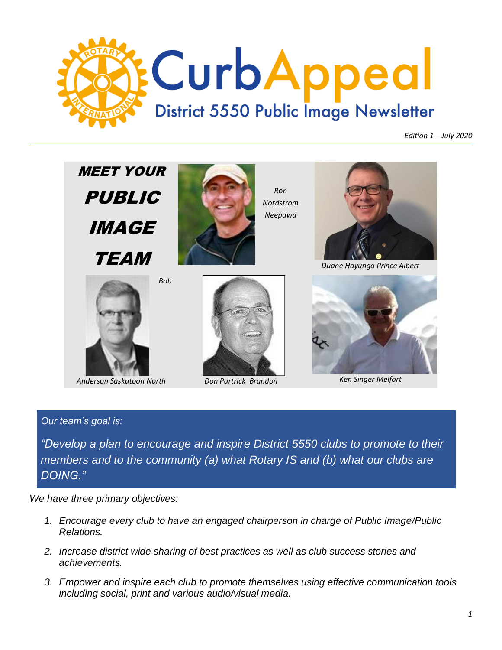

*Edition 1 – July 2020*



*Anderson Saskatoon North Don Partrick Brandon Ken Singer Melfort*

#### *Our team's goal is:*

*"Develop a plan to encourage and inspire District 5550 clubs to promote to their members and to the community (a) what Rotary IS and (b) what our clubs are DOING."*

*We have three primary objectives:*

- *1. Encourage every club to have an engaged chairperson in charge of Public Image/Public Relations.*
- *2. Increase district wide sharing of best practices as well as club success stories and achievements.*
- *3. Empower and inspire each club to promote themselves using effective communication tools including social, print and various audio/visual media.*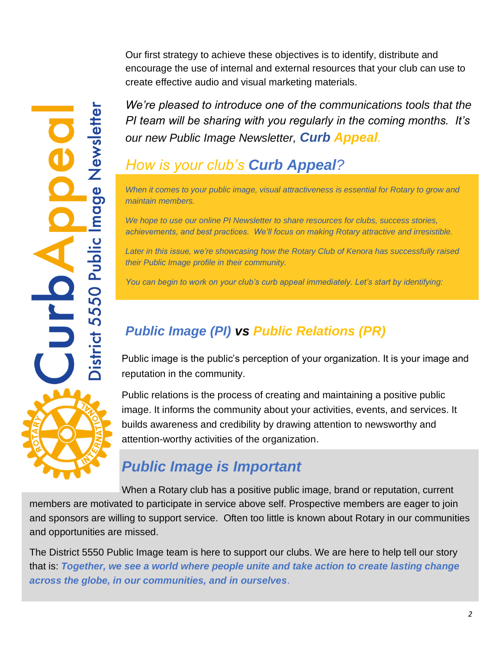Our first strategy to achieve these objectives is to identify, distribute and encourage the use of internal and external resources that your club can use to create effective audio and visual marketing materials.

*We're pleased to introduce one of the communications tools that the PI team will be sharing with you regularly in the coming months. It's our new Public Image Newsletter, Curb Appeal.*

# *How is your club's Curb Appeal?*

istrict 5550 Public Image Newslett

j

*When it comes to your public image, visual attractiveness is essential for Rotary to grow and maintain members.* 

*We hope to use our online PI Newsletter to share resources for clubs, success stories, achievements, and best practices. We'll focus on making Rotary attractive and irresistible.* 

*Later in this issue, we're showcasing how the Rotary Club of Kenora has successfully raised their Public Image profile in their community.*

*You can begin to work on your club's curb appeal immediately. Let's start by identifying:*

# *Public Image (PI) vs Public Relations (PR)*

Public image is the public's perception of your organization. It is your image and reputation in the community.

Public relations is the process of creating and maintaining a positive public image. It informs the community about your activities, events, and services. It builds awareness and credibility by drawing attention to newsworthy and attention-worthy activities of the organization.

# *Public Image is Important*

When a Rotary club has a positive public image, brand or reputation, current members are motivated to participate in service above self. Prospective members are eager to join and sponsors are willing to support service. Often too little is known about Rotary in our communities and opportunities are missed.

The District 5550 Public Image team is here to support our clubs. We are here to help tell our story that is: *Together, we see a world where people unite and take action to create lasting change across the globe, in our communities, and in ourselves*.

*2*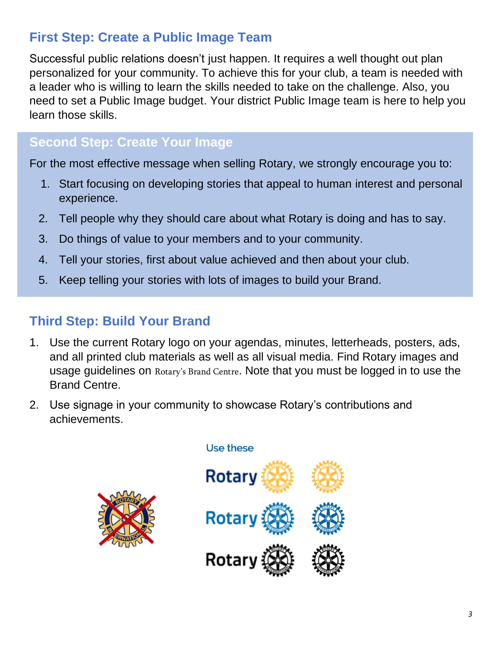## **First Step: Create a Public Image Team**

Successful public relations doesn't just happen. It requires a well thought out plan personalized for your community. To achieve this for your club, a team is needed with a leader who is willing to learn the skills needed to take on the challenge. Also, you need to set a Public Image budget. Your district Public Image team is here to help you learn those skills.

## **Second Step: Create Your Image**

For the most effective message when selling Rotary, we strongly encourage you to:

- 1. Start focusing on developing stories that appeal to human interest and personal experience.
- 2. Tell people why they should care about what Rotary is doing and has to say.
- 3. Do things of value to your members and to your community.
- 4. Tell your stories, first about value achieved and then about your club.
- 5. Keep telling your stories with lots of images to build your Brand.

## **Third Step: Build Your Brand**

- 1. Use the current Rotary logo on your agendas, minutes, letterheads, posters, ads, and all printed club materials as well as all visual media. Find Rotary images and usage guidelines on [Rotary's Brand Cent](https://brandcenter.rotary.org/en-GB)re. Note that you must be logged in to use the Brand Centre.
- 2. Use signage in your community to showcase Rotary's contributions and achievements.



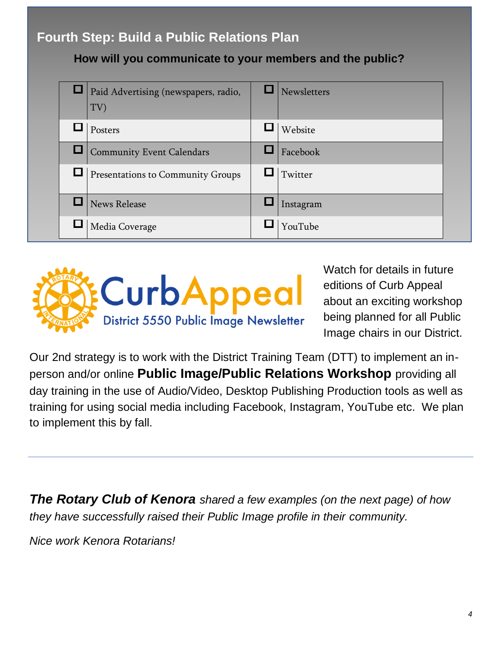## **Fourth Step: Build a Public Relations Plan**

**How will you communicate to your members and the public?** 

| <b>Q</b>   Paid Advertising (newspapers, radio,<br>TV) | Newsletters |
|--------------------------------------------------------|-------------|
| Posters                                                | Website     |
| Community Event Calendars                              | Facebook    |
| <b>I</b> Presentations to Community Groups             | Twitter     |
| <b>News Release</b>                                    | Instagram   |
| Media Coverage                                         | YouTube     |



Watch for details in future editions of Curb Appeal about an exciting workshop being planned for all Public Image chairs in our District.

Our 2nd strategy is to work with the District Training Team (DTT) to implement an inperson and/or online **Public Image/Public Relations Workshop** providing all day training in the use of Audio/Video, Desktop Publishing Production tools as well as training for using social media including Facebook, Instagram, YouTube etc. We plan to implement this by fall.

*The Rotary Club of Kenora shared a few examples (on the next page) of how they have successfully raised their Public Image profile in their community.* 

*Nice work Kenora Rotarians!*